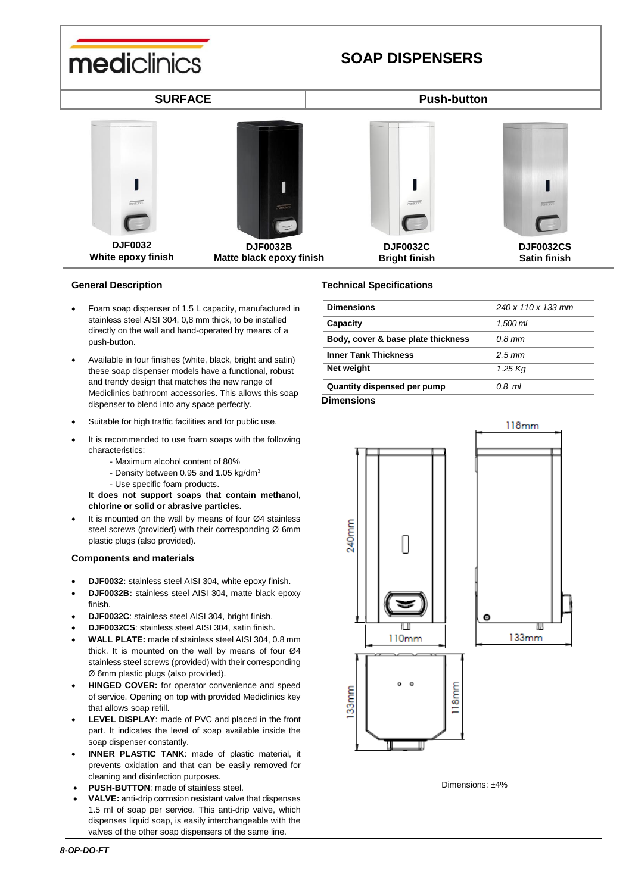

## **General Description**

- Foam soap dispenser of 1.5 L capacity, manufactured in stainless steel AISI 304, 0,8 mm thick, to be installed directly on the wall and hand-operated by means of a push-button.
- Available in four finishes (white, black, bright and satin) these soap dispenser models have a functional, robust and trendy design that matches the new range of Mediclinics bathroom accessories. This allows this soap dispenser to blend into any space perfectly.
- Suitable for high traffic facilities and for public use.
- It is recommended to use foam soaps with the following characteristics:
	- Maximum alcohol content of 80%
	- Density between 0.95 and 1.05 kg/dm<sup>3</sup>
	- Use specific foam products.

**It does not support soaps that contain methanol, chlorine or solid or abrasive particles.**

 It is mounted on the wall by means of four Ø4 stainless steel screws (provided) with their corresponding Ø 6mm plastic plugs (also provided).

## **Components and materials**

- **DJF0032:** stainless steel AISI 304, white epoxy finish.
- **DJF0032B:** stainless steel AISI 304, matte black epoxy finish.
- **DJF0032C**: stainless steel AISI 304, bright finish.
- **DJF0032CS**: stainless steel AISI 304, satin finish.
- **WALL PLATE:** made of stainless steel AISI 304, 0.8 mm thick. It is mounted on the wall by means of four Ø4 stainless steel screws (provided) with their corresponding Ø 6mm plastic plugs (also provided).
- **HINGED COVER:** for operator convenience and speed of service. Opening on top with provided Mediclinics key that allows soap refill.
- **LEVEL DISPLAY**: made of PVC and placed in the front part. It indicates the level of soap available inside the soap dispenser constantly.
- **INNER PLASTIC TANK**: made of plastic material, it prevents oxidation and that can be easily removed for cleaning and disinfection purposes.
- **PUSH-BUTTON**: made of stainless steel.
- **VALVE:** anti-drip corrosion resistant valve that dispenses 1.5 ml of soap per service. This anti-drip valve, which dispenses liquid soap, is easily interchangeable with the valves of the other soap dispensers of the same line.

## **Technical Specifications**

| <b>Dimensions</b>                  | 240 x 110 x 133 mm |
|------------------------------------|--------------------|
| Capacity                           | 1.500 ml           |
| Body, cover & base plate thickness | $0.8$ mm           |
| <b>Inner Tank Thickness</b>        | $2.5 \, \text{mm}$ |
| Net weight                         | 1.25 Kg            |
| Quantity dispensed per pump        | 0.8 ml             |
|                                    |                    |

**Dimensions**



Dimensions: ±4%